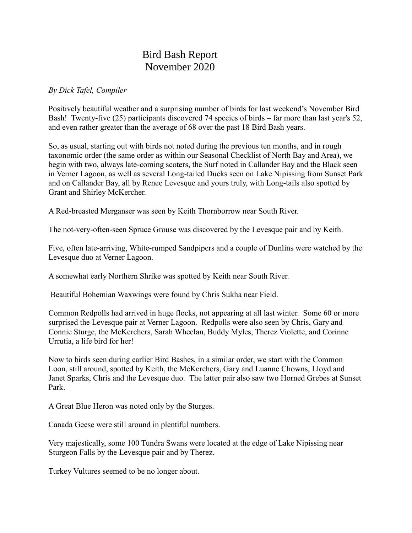## Bird Bash Report November 2020

## *By Dick Tafel, Compiler*

Positively beautiful weather and a surprising number of birds for last weekend's November Bird Bash! Twenty-five (25) participants discovered 74 species of birds – far more than last year's 52, and even rather greater than the average of 68 over the past 18 Bird Bash years.

So, as usual, starting out with birds not noted during the previous ten months, and in rough taxonomic order (the same order as within our Seasonal Checklist of North Bay and Area), we begin with two, always late-coming scoters, the Surf noted in Callander Bay and the Black seen in Verner Lagoon, as well as several Long-tailed Ducks seen on Lake Nipissing from Sunset Park and on Callander Bay, all by Renee Levesque and yours truly, with Long-tails also spotted by Grant and Shirley McKercher.

A Red-breasted Merganser was seen by Keith Thornborrow near South River.

The not-very-often-seen Spruce Grouse was discovered by the Levesque pair and by Keith.

Five, often late-arriving, White-rumped Sandpipers and a couple of Dunlins were watched by the Levesque duo at Verner Lagoon.

A somewhat early Northern Shrike was spotted by Keith near South River.

Beautiful Bohemian Waxwings were found by Chris Sukha near Field.

Common Redpolls had arrived in huge flocks, not appearing at all last winter. Some 60 or more surprised the Levesque pair at Verner Lagoon. Redpolls were also seen by Chris, Gary and Connie Sturge, the McKerchers, Sarah Wheelan, Buddy Myles, Therez Violette, and Corinne Urrutia, a life bird for her!

Now to birds seen during earlier Bird Bashes, in a similar order, we start with the Common Loon, still around, spotted by Keith, the McKerchers, Gary and Luanne Chowns, Lloyd and Janet Sparks, Chris and the Levesque duo. The latter pair also saw two Horned Grebes at Sunset Park.

A Great Blue Heron was noted only by the Sturges.

Canada Geese were still around in plentiful numbers.

Very majestically, some 100 Tundra Swans were located at the edge of Lake Nipissing near Sturgeon Falls by the Levesque pair and by Therez.

Turkey Vultures seemed to be no longer about.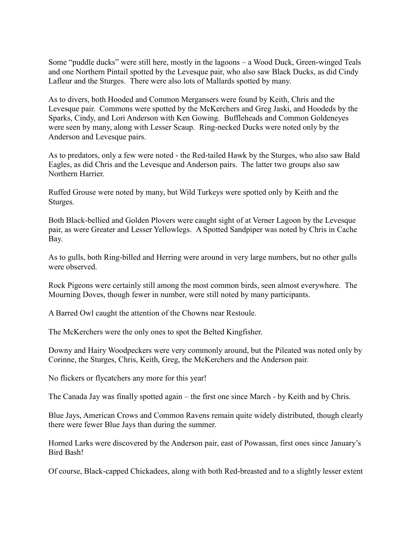Some "puddle ducks" were still here, mostly in the lagoons – a Wood Duck, Green-winged Teals and one Northern Pintail spotted by the Levesque pair, who also saw Black Ducks, as did Cindy Lafleur and the Sturges. There were also lots of Mallards spotted by many.

As to divers, both Hooded and Common Mergansers were found by Keith, Chris and the Levesque pair. Commons were spotted by the McKerchers and Greg Jaski, and Hoodeds by the Sparks, Cindy, and Lori Anderson with Ken Gowing. Buffleheads and Common Goldeneyes were seen by many, along with Lesser Scaup. Ring-necked Ducks were noted only by the Anderson and Levesque pairs.

As to predators, only a few were noted - the Red-tailed Hawk by the Sturges, who also saw Bald Eagles, as did Chris and the Levesque and Anderson pairs. The latter two groups also saw Northern Harrier.

Ruffed Grouse were noted by many, but Wild Turkeys were spotted only by Keith and the Sturges.

Both Black-bellied and Golden Plovers were caught sight of at Verner Lagoon by the Levesque pair, as were Greater and Lesser Yellowlegs. A Spotted Sandpiper was noted by Chris in Cache Bay.

As to gulls, both Ring-billed and Herring were around in very large numbers, but no other gulls were observed.

Rock Pigeons were certainly still among the most common birds, seen almost everywhere. The Mourning Doves, though fewer in number, were still noted by many participants.

A Barred Owl caught the attention of the Chowns near Restoule.

The McKerchers were the only ones to spot the Belted Kingfisher.

Downy and Hairy Woodpeckers were very commonly around, but the Pileated was noted only by Corinne, the Sturges, Chris, Keith, Greg, the McKerchers and the Anderson pair.

No flickers or flycatchers any more for this year!

The Canada Jay was finally spotted again – the first one since March - by Keith and by Chris.

Blue Jays, American Crows and Common Ravens remain quite widely distributed, though clearly there were fewer Blue Jays than during the summer.

Horned Larks were discovered by the Anderson pair, east of Powassan, first ones since January's Bird Bash!

Of course, Black-capped Chickadees, along with both Red-breasted and to a slightly lesser extent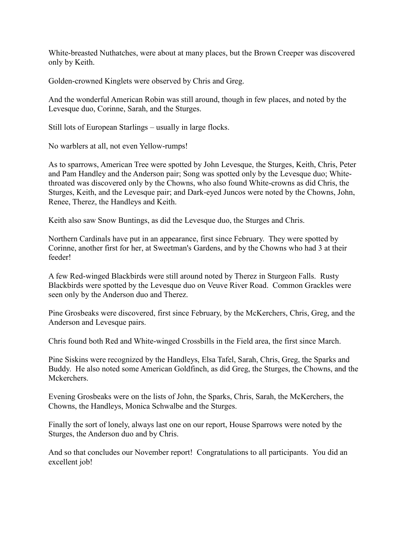White-breasted Nuthatches, were about at many places, but the Brown Creeper was discovered only by Keith.

Golden-crowned Kinglets were observed by Chris and Greg.

And the wonderful American Robin was still around, though in few places, and noted by the Levesque duo, Corinne, Sarah, and the Sturges.

Still lots of European Starlings – usually in large flocks.

No warblers at all, not even Yellow-rumps!

As to sparrows, American Tree were spotted by John Levesque, the Sturges, Keith, Chris, Peter and Pam Handley and the Anderson pair; Song was spotted only by the Levesque duo; Whitethroated was discovered only by the Chowns, who also found White-crowns as did Chris, the Sturges, Keith, and the Levesque pair; and Dark-eyed Juncos were noted by the Chowns, John, Renee, Therez, the Handleys and Keith.

Keith also saw Snow Buntings, as did the Levesque duo, the Sturges and Chris.

Northern Cardinals have put in an appearance, first since February. They were spotted by Corinne, another first for her, at Sweetman's Gardens, and by the Chowns who had 3 at their feeder!

A few Red-winged Blackbirds were still around noted by Therez in Sturgeon Falls. Rusty Blackbirds were spotted by the Levesque duo on Veuve River Road. Common Grackles were seen only by the Anderson duo and Therez.

Pine Grosbeaks were discovered, first since February, by the McKerchers, Chris, Greg, and the Anderson and Levesque pairs.

Chris found both Red and White-winged Crossbills in the Field area, the first since March.

Pine Siskins were recognized by the Handleys, Elsa Tafel, Sarah, Chris, Greg, the Sparks and Buddy. He also noted some American Goldfinch, as did Greg, the Sturges, the Chowns, and the Mckerchers.

Evening Grosbeaks were on the lists of John, the Sparks, Chris, Sarah, the McKerchers, the Chowns, the Handleys, Monica Schwalbe and the Sturges.

Finally the sort of lonely, always last one on our report, House Sparrows were noted by the Sturges, the Anderson duo and by Chris.

And so that concludes our November report! Congratulations to all participants. You did an excellent job!